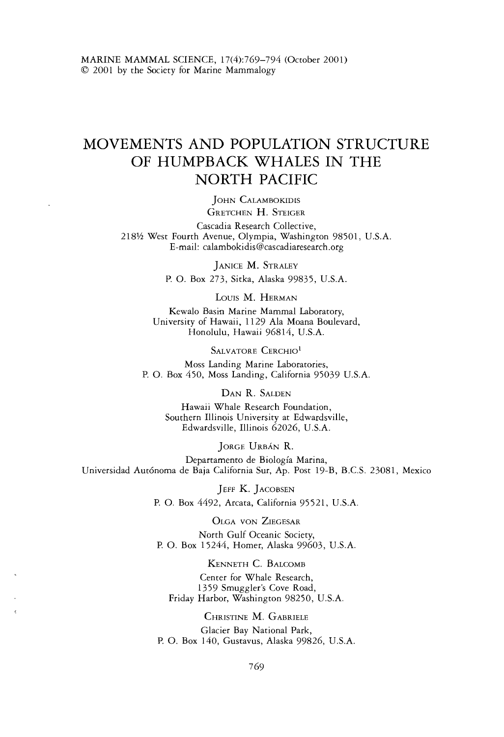# MOVEMENTS AND POPULATION STRUCTURE OF HUMPBACK WHALES IN THE NORTH PACIFIC

JOHN CALAMBOKIDIS GRETCHEN H. STEIGER

Cascadia Research Collective, *218%* West Fourth Avenue, Olympia, Washington *98501,* U.S.A. E-mail: calambokidis@cascadiaresearch.org

JANICE M. STRALEY

P. 0. Box *273,* Sitka, Alaska *99835,* U.S.A.

LOUIS M. HERMAN

Kewalo Basin Marine Mammal Laboratory, University of Hawaii, 11 *29* Ala Moana Boulevard, Honolulu, Hawaii *96814,* U.S.A.

SALVATORE CERCHIO<sup>1</sup>

Moss Landing Marine Laboratories, P. 0. Box *450,* Moss Landing, California *95039* U.S.A.

DAN R. SALDEN

Hawaii Whale Research Foundation, Southern Illinois University at Edwardsville, Edwardsville, Illinois *62026,* U.S.A.

JORGE URBÁN R.

Departamento de Biologia Marina, Universidad Aut6noma de Baja California Sur, Ap. Post *19-B,* B.C.S. *23081,* Mexico

JEFF K. JACOBSEN

P. 0. Box *4492,* Arcata, California *9552 1,* U.S.A.

OLGA VON ZIEGESAR North Gulf Oceanic Society, P. 0. Box *15244,* Homer, Alaska *99603,* U.S.A.

KENNETH C. BALCOMB Center for Whale Research, *1359* Smuggler's Cove Road, Friday Harbor, Washington *98250,* U.S.A

CHRISTINE M. GABRIELE Glacier Bay National Park, P. 0. Box *140,* Gustavus, Alaska *99826,* U.S.A.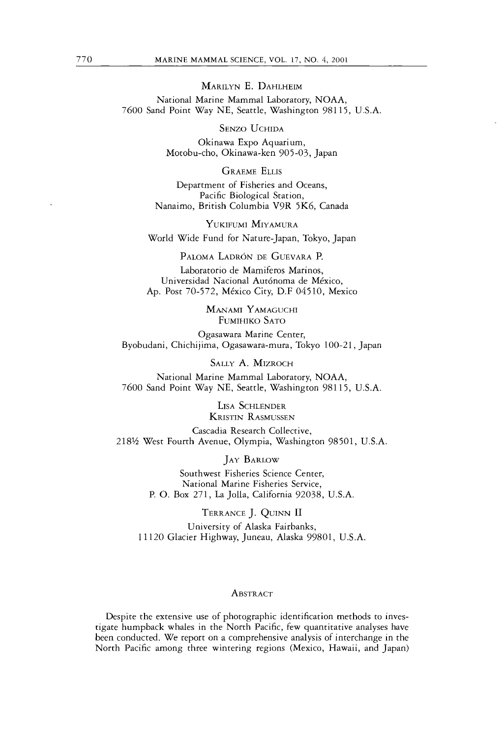MARILYN E.DAHLHEIM National Marine Mammal Laboratory, NOAA, 7600 Sand Point Way NE, Seattle, Washington 98115, U.S.A.

**SENZO UCHIDA** 

Okinawa Expo Aquarium, Motobu-cho, Okinawa-ken 905-03, Japan

**GRAEME ELLIS** 

Department of Fisheries and Oceans, Pacific Biological Station, Nanaimo, British Columbia V9R 5K6, Canada

YUKIFUMI MIYAMURA World Wide Fund for Nature-Japan, Tokyo, Japan

PALOMA LADRÓN DE GUEVARA P.

Laboratorio de Mamiferos Marinos, Universidad Nacional Aut6noma de Mexico, Ap. Post 70-572, Mexico City, D.F 04510, Mexico

> MANAMI YAMAGUCHI FUMIHIKO SATO

Ogasawara Marine Center, Byobudani, Chichijima, Ogasawara-mura, Tokyo 100-21, Japan

SALLY A. MIZROCH

National Marine Mammal Laboratory, NOAA, 7600 Sand Point Way NE, Seattle, Washington 98115, U.S.A.

> LISA SCHLENDER KRISTIN RASMUSSEN

Cascadia Research Collective, 218% West Fourth Avenue, Olympia, Washington 98501, U.S.A.

**JAY BARLOW** 

Southwest Fisheries Science Center, National Marine Fisheries Service, P. *0.* Box 271, La Jolla, California 92038, U.S.A

TERRANCE J. QUINN I1 University of Alaska Fairbanks, 11 120 Glacier Highway, Juneau, Alaska 99801, U.S.A.

## ABSTRACT

Despite the extensive use of photographic identification methods to investigate humpback whales in the North Pacific, few quantitative analyses have been conducted. We report on a comprehensive analysis of interchange in the North Pacific among three wintering regions (Mexico, Hawaii, and Japan)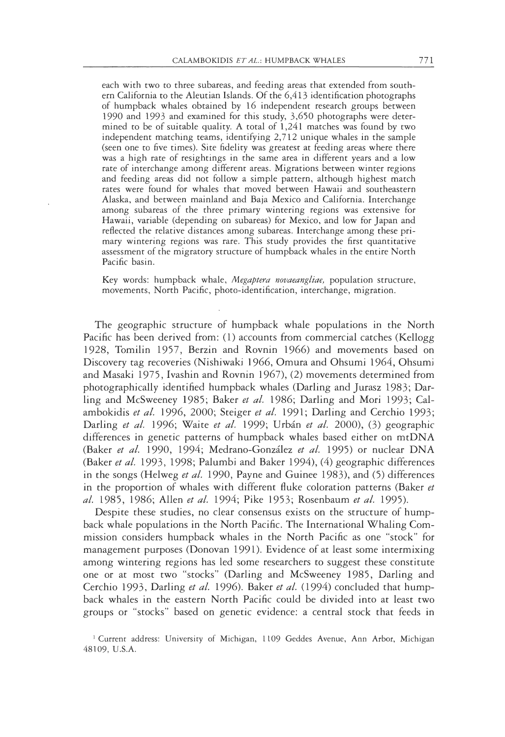each with two to three subareas, and feeding areas that extended from southern California to the Aleutian Islands. Of the 6,413 identification photographs of humpback whales obtained by 16 independent research groups between 1990 and 1993 and examined for this study, 3,650 photographs were determined to be of suitable quality. A total of 1,241 matches was found by two independent matching teams, identifying 2,712 unique whales in the sample (seen one to five times). Site fidelity was greatest at feeding areas where there was a high rate of resightings in the same area in different years and a low rate of interchange among different areas. Migrations between winter regions and feeding areas did not follow a simple pattern, although highest match rates were found for whales that moved between Hawaii and southeastern Alaska, and between mainland and Baja Mexico and California. Interchange among subareas of the three primary wintering regions was extensive for Hawaii, variable (depending on subareas) for Mexico, and low for Japan and reflected the relative distances among subareas. Interchange among these primary wintering regions was rare. This study provides the first quantitative assessment of the migratory structure of humpback whales in the entire North Pacific basin.

Key words: humpback whale, Megaptera novaeangliae, population structure, movements, North Pacific, photo-identification, interchange, migration.

The geographic structure of humpback whale populations in the North Pacific has been derived from: (1) accounts from commercial catches (Kellogg 1928, Tomilin 1957, Berzin and Rovnin 1966) and movements based on Discovery tag recoveries (Nishiwaki 1966, Omura and Ohsumi 1964, Ohsumi and Masaki 1975, Ivashin and Rovnin 1967), (2) movements determined from photographically identified humpback whales (Darling and Jurasz 1983; Darling and McSweeney 1985; Baker et al. 1986; Darling and Mori 1993; Calambokidis et al. 1996, 2000; Steiger et al. 1991; Darling and Cerchio 1993; Darling et al. 1996; Waite et al. 1999; Urbán et al. 2000), (3) geographic differences in genetic patterns of humpback whales based either on mtDNA (Baker et al. 1990, 1994; Medrano-González et al. 1995) or nuclear DNA (Baker et al. 1993, 1998; Palumbi and Baker 1994), (4) geographic differences in the songs (Helweg et al. 1990, Payne and Guinee 1983), and (5) differences in the proportion of whales with different fluke coloration patterns (Baker et al. 1985, 1986; Allen et al. 1994; Pike 1953; Rosenbaum et al. 1995).

Despite these studies, no clear consensus exists on the structure of humpback whale populations in the North Pacific. The International Whaling Commission considers humpback whales in the North Pacific as one "stock" for management purposes (Donovan 1991). Evidence of at least some intermixing among wintering regions has led some researchers to suggest these constitute one or at most two "stocks" (Darling and McSweeney 1985, Darling and Cerchio 1993, Darling et al. 1996). Baker et al. (1994) concluded that humpback whales in the eastern North Pacific could be divided into at least two groups or "stocks" based on genetic evidence: a central stock that feeds in

<sup>&</sup>lt;sup>1</sup> Current address: University of Michigan, 1109 Geddes Avenue, Ann Arbor, Michigan 48109, U.S.A.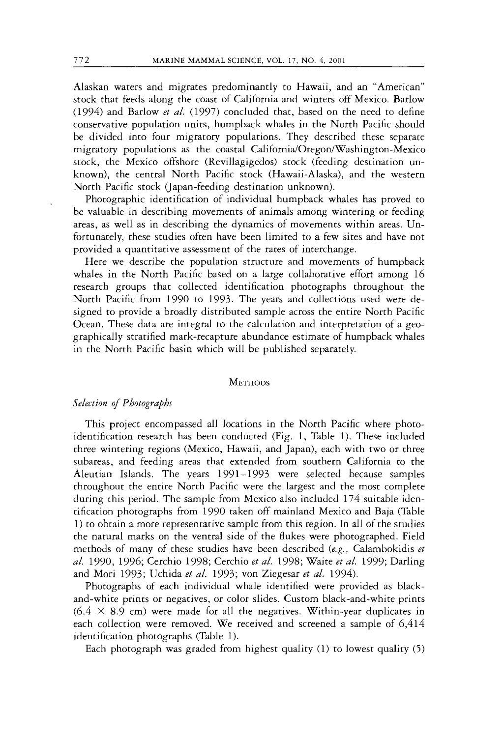Alaskan waters and migrates predominantly to Hawaii, and an "American" stock that feeds along the coast of California and winters off Mexico. Barlow (1994) and Barlow *et al.* (1997) concluded that, based on the need to define conservative population units, humpback whales in the North Pacific should be divided into four migratory populations. They described these separate migratory populations as the coastal **California/Oregon/Washington-Mexico**  stock, the Mexico offshore (Revillagigedos) stock (feeding destination unknown), the central North Pacific stock (Hawaii-Alaska), and the western North Pacific stock (Japan-feeding destination unknown).

Photographic identification of individual humpback whales has proved to be valuable in describing movements of animals among wintering or feeding areas, as well as in describing the dynamics of movements within areas. Unfortunately, these studies often have been limited to a few sires and have not provided a quantitative assessment of the rates of interchange.

Here we describe the population structure and movements of humpback whales in the North Pacific based on a large collaborative effort among 16 research groups that collected identification photographs throughout the North Pacific from 1990 to 1993. The years and collections used were designed to provide a broadly distributed sample across the entire North Pacific Ocean. These data are integral to the calculation and interpretation of a geographically stratified mark-recapture abundance estimate of humpback whales in the North Pacific basin which will be published separately.

#### **METHODS**

#### *Selection of Photographs*

This project encompassed all locations in the North Pacific where photoidentification research has been conducted (Fig. 1, Table 1). These included three wintering regions (Mexico, Hawaii, and Japan), each with two or three subareas, and feeding areas that extended from southern California to the Aleutian Islands. The years 1991-1993 were selected because samples throughout the entire North Pacific were the largest and the most complete during this period. The sample from Mexico also included 174 suitable identification photographs from 1990 taken off mainland Mexico and Baja (Table 1) to obtain a more representative sample from this region. In all of the studies the natural marks on the ventral side of the flukes were photographed. Field methods of many of these studies have been described (e.g., Calambokidis *et al.* 1990, 1996; Cerchio 1998; Cerchio *et al.* 1998; Waite *et al.* 1999; Darling and Mori 1993; Uchida *et al.* 1993; von Ziegesar *et al.* 1994).

Photographs of each individual whale identified were provided as blackand-white prints or negatives, or color slides. Custom black-and-white prints  $(6.4 \times 8.9 \text{ cm})$  were made for all the negatives. Within-year duplicates in each collection were removed. We received and screened a sample of 6,414 identification photographs (Table 1).

Each photograph was graded from highest quality (1) to lowest quality *(5)*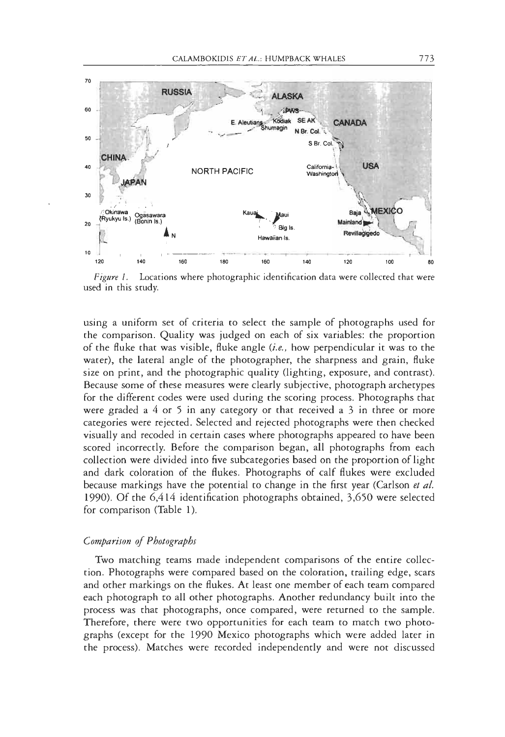

Locations where photographic identification data were collected that were Figure 1. used in this study.

using a uniform set of criteria to select the sample of photographs used for the comparison. Quality was judged on each of six variables: the proportion of the fluke that was visible, fluke angle (i.e., how perpendicular it was to the water), the lateral angle of the photographer, the sharpness and grain, fluke size on print, and the photographic quality (lighting, exposure, and contrast). Because some of these measures were clearly subjective, photograph archetypes for the different codes were used during the scoring process. Photographs that were graded a  $4$  or  $5$  in any category or that received a  $3$  in three or more categories were rejected. Selected and rejected photographs were then checked visually and recoded in certain cases where photographs appeared to have been scored incorrectly. Before the comparison began, all photographs from each collection were divided into five subcategories based on the proportion of light and dark coloration of the flukes. Photographs of calf flukes were excluded because markings have the potential to change in the first year (Carlson et al. 1990). Of the 6,414 identification photographs obtained, 3,650 were selected for comparison (Table 1).

# Comparison of Photographs

Two matching teams made independent comparisons of the entire collection. Photographs were compared based on the coloration, trailing edge, scars and other markings on the flukes. At least one member of each team compared each photograph to all other photographs. Another redundancy built into the process was that photographs, once compared, were returned to the sample. Therefore, there were two opportunities for each team to match two photographs (except for the 1990 Mexico photographs which were added later in the process). Matches were recorded independently and were not discussed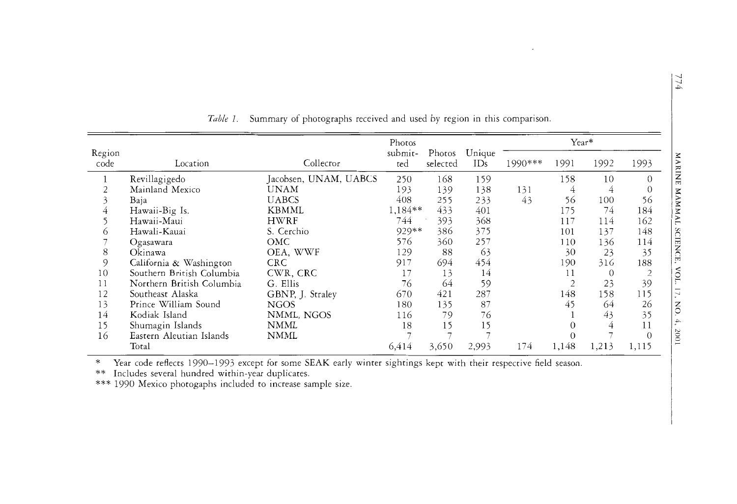|                |                           |                       | Photos         |                    |               | Year*   |       |          |       |  |
|----------------|---------------------------|-----------------------|----------------|--------------------|---------------|---------|-------|----------|-------|--|
| Region<br>code | Location                  | Collecror             | submit-<br>ted | Photos<br>selected | Unique<br>IDs | 1990*** | 1991  | 1992     | 1993  |  |
|                | Revillagigedo             | Jacobsen, UNAM, UABCS | 250            | 168                | 159           |         | 158   | 10       | 0     |  |
|                | Mainland Mexico           | <b>UNAM</b>           | 193            | 139                | 138           | 131     | 4     | 4        |       |  |
|                | Baja                      | <b>UABCS</b>          | 408            | 255                | 233           | 43      | 56    | 100      | 56    |  |
|                | Hawaii-Big Is.            | KBMML                 | 1,184**        | 433                | 401           |         | 175   | 74       | 184   |  |
|                | Hawaii-Maui               | <b>HWRF</b>           | 744            | 393                | 368           |         | 117   | 114      | 162   |  |
| $\circ$        | Hawali-Kauai              | S. Cerchio            | 929**          | 386                | 375           |         | 101   | 137      | 148   |  |
|                | Ogasawara                 | OMC                   | 576            | 360                | 257           |         | 110   | 136      | 114   |  |
| 8              | Okinawa                   | OEA, WWF              | 129            | 88                 | 63            |         | 30    | 23       | 35    |  |
| 9              | California & Washington   | <b>CRC</b>            | 917            | 694                | 454           |         | 190   | 316      | 188   |  |
| 10             | Southern British Columbia | CWR, CRC              | 17             | 13                 | 14            |         | 11    | $\Omega$ |       |  |
| 11             | Northern British Columbia | G. Ellis              | 76             | 64                 | 59            |         |       | 23       | 39    |  |
| 12             | Southeast Alaska          | GBNP, J. Straley      | 670            | 421                | 287           |         | 148   | 158      | 115   |  |
| 13             | Prince William Sound      | <b>NGOS</b>           | 180            | 135                | 87            |         | 45    | 64       | 26    |  |
| 14             | Kodiak Island             | NMML, NGOS            | 116            | 79                 | 76            |         |       | 43       | 35    |  |
| 15             | Shumagin Islands          | <b>NMML</b>           | 18             | 15                 | 15            |         |       | 4        |       |  |
| 16             | Eastern Aleutian Islands  | <b>NMML</b>           |                |                    |               |         |       |          |       |  |
|                | Total                     |                       | 6.414          | 3,650              | 2,993         | 174     | 1,148 | 1,213    | 1,115 |  |

*Table I.* Summary of photographs received and used by region in this comparison.

\* Year code reflects 1990-1993 except for some SEAK early winter sightings kept with their respective field season.<br>\*\* Includes several hundred within-year duplicates.

\*\*\* 1990 Mexico photogaphs included to increase sample size.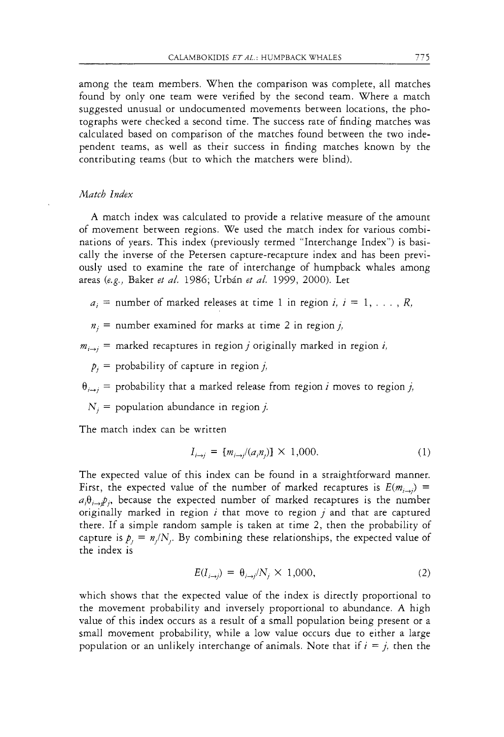among the team members. When the comparison was complete, all matches found by only one team were verified by the second team. Where a match suggested unusual or undocumented movements between locations, the photographs were checked a second time. The success rate of finding matches was calculated based on comparison of the matches found between the two independent teams, as well as their success in finding matches known by the contributing teams (but to which the matchers were blind).

# *Match* Index

A match index was calculated to provide a relative measure of the amount of movement between regions. We used the match index for various combinations of years. This index (previously termed "Interchange Index") is basically the inverse of the Petersen capture-recapture index and has been previously used to examine the rate of interchange of humpback whales among areas (e.g., Baker et *a/.* 1986; Urbin et *a/.* 1999, 2000). Let

- $a_i$  = number of marked releases at time 1 in region *i*,  $i = 1, \ldots, R$ ,
- $n_i$  = number examined for marks at time 2 in region j,

 $m_{i\rightarrow j}$  = marked recaptures in region *j* originally marked in region *i*,

 $p_i$  = probability of capture in region j,

 $\theta_{i \to i}$  = probability that a marked release from region *i* moves to region *j*,

 $N_i$  = population abundance in region j.

The match index can be written

$$
I_{i \to i} = [m_{i \to i'}(a_i, n_i)] \times 1,000.
$$
 (1)

The expected value of this index can be found in a straightforward manner. First, the expected value of the number of marked recaptures is  $E(m_{i\rightarrow i})$  =  $a_i \theta_{i \to i} p_i$ , because the expected number of marked recaptures is the number originally marked in region  $i$  that move to region  $j$  and that are captured there. If a simple random sample is taken at time 2, then the probability of capture is  $p_j = n_j/N_j$ . By combining these relationships, the expected value of the index is

$$
E(I_{i\to j}) = \theta_{i\to j}/N_j \times 1{,}000,
$$
 (2)

which shows that the expected value of the index is directly proportional to the movement probability and inversely proportional to abundance. A high value of this index occurs as a result of a small population being present or a small movement probability, while a low value occurs due to either a large population or an unlikely interchange of animals. Note that if  $i = j$ , then the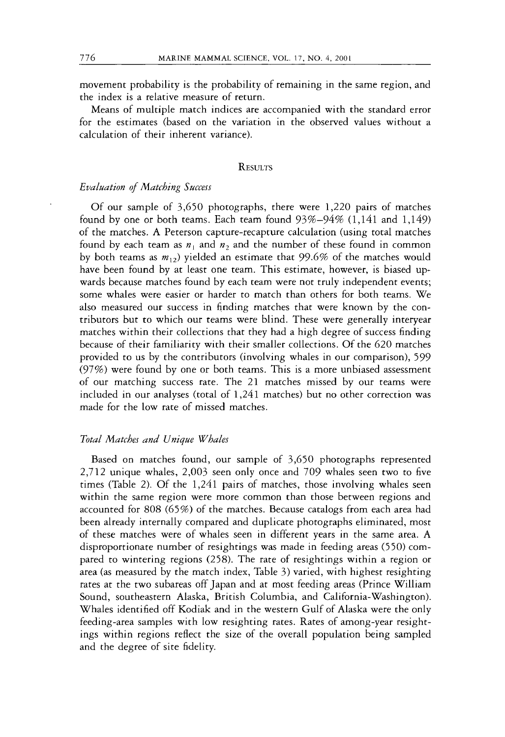movement probability is the probability of remaining in the same region, and the index is a relative measure of return.

Means of multiple match indices are accompanied with the standard error for the estimates (based on the variation in the observed values without a calculation of their inherent variance).

#### **RESULTS**

## *Evaluation* of *Matching Success*

Of our sample of 3,650 photographs, there were 1,220 pairs of matches found by one or both teams. Each team found 93%-94% (1,141 and 1,149) of the matches. A Peterson capture-recapture calculation (using total matches found by each team as  $n_1$  and  $n_2$  and the number of these found in common by both teams as  $m_{12}$ ) yielded an estimate that 99.6% of the matches would have been found by at least one team. This estimate, however, is biased upwards because matches found by each team were not truly independent events; some whales were easier or harder to match than others for both teams. We also measured our success in finding matches that were known by the contributors but to which our teams were blind. These were generally interyear matches within their collections that they had a high degree of success finding because of their familiarity with their smaller collections. Of the 620 matches provided to us by the contributors (involving whales in our comparison), 599 (97%) were found by one or both teams. This is a more unbiased assessment of our matching success rate. The 21 matches missed by our teams were included in our analyses (total of 1,241 matches) but no other correction was made for the low rate of missed matches.

## *Total Matches and Unique Whales*

Based on matches found, our sample of 3,650 photographs represented 2,712 unique whales, 2,003 seen only once and 709 whales seen two to five times (Table 2). Of the 1,241 pairs of matches, those involving whales seen within the same region were more common than those between regions and accounted for 808 (65%) of the matches. Because catalogs from each area had been already internally compared and duplicate photographs eliminated, most of these matches were of whales seen in different years in the same area. A disproportionate number of resightings was made in feeding areas (550) compared to wintering regions (258). The rate of resightings within a region or area (as measured by the match index, Table 3) varied, with highest resighting rates at the two subareas off Japan and at most feeding areas (Prince William Sound, southeastern Alaska, British Columbia, and California-Washington). Whales identified off Kodiak and in the western Gulf of Alaska were the only feeding-area samples with low resighting rates. Rates of among-year resightings within regions reflect the size of the overall population being sampled and the degree of site fidelity.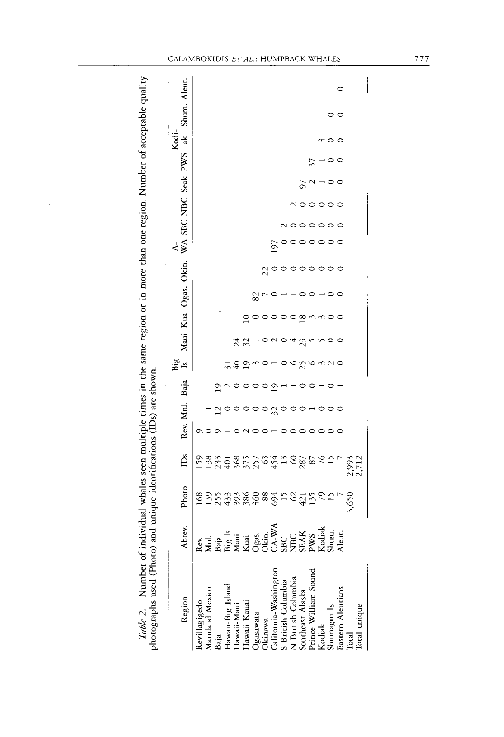| photographs used (Photo) and unique identifications (IDs) are shown.<br>Table 2. Number of ind |                                                                                                                                                                                                                                                                                                                                                                                                                                        | ividual whales seen multiple times in the same region or in more than one region. Number of acceptable quality |                |                          |                           |              |                     |    |                 |    |                                       |     |                         |    |      |              |   |
|------------------------------------------------------------------------------------------------|----------------------------------------------------------------------------------------------------------------------------------------------------------------------------------------------------------------------------------------------------------------------------------------------------------------------------------------------------------------------------------------------------------------------------------------|----------------------------------------------------------------------------------------------------------------|----------------|--------------------------|---------------------------|--------------|---------------------|----|-----------------|----|---------------------------------------|-----|-------------------------|----|------|--------------|---|
| Region                                                                                         | Abrev.                                                                                                                                                                                                                                                                                                                                                                                                                                 | Photo                                                                                                          | Ă              | Rev. Mnl.                |                           | Baja         | Big<br>$\mathbf{z}$ |    | Maui Kuai Ogas. |    | Okin.                                 | ₹   | WA SBC NBC Seak PWS ak  |    | Kodi | Shum. Aleut. |   |
| Revillagigedo<br>Mainland Mexico<br>Baja                                                       | $\begin{array}{l} \texttt{k.c.} \\ \texttt{M.d.} \\ \texttt{M.d.} \\ \texttt{M.d.} \\ \texttt{M.d.} \\ \texttt{M.d.} \\ \texttt{M.d.} \\ \texttt{M.d.} \\ \texttt{M.d.} \\ \texttt{M.d.} \\ \texttt{M.d.} \\ \texttt{M.d.} \\ \texttt{M.d.} \\ \texttt{M.d.} \\ \texttt{M.d.} \\ \texttt{M.d.} \\ \texttt{M.d.} \\ \texttt{M.d.} \\ \texttt{M.d.} \\ \texttt{M.d.} \\ \texttt{M.d.} \\ \texttt{M.d.} \\ \texttt{M.d.} \\ \texttt{M.d.$ | 168                                                                                                            | 59             |                          |                           |              |                     |    |                 |    |                                       |     |                         |    |      |              |   |
|                                                                                                |                                                                                                                                                                                                                                                                                                                                                                                                                                        | 555588889505565                                                                                                |                |                          |                           |              |                     |    |                 |    |                                       |     |                         |    |      |              |   |
|                                                                                                |                                                                                                                                                                                                                                                                                                                                                                                                                                        |                                                                                                                |                |                          |                           | $\mathbf{S}$ |                     |    |                 |    |                                       |     |                         |    |      |              |   |
| Hawaii-Big Island                                                                              |                                                                                                                                                                                                                                                                                                                                                                                                                                        |                                                                                                                |                |                          |                           |              | $\frac{1}{2}$       |    |                 |    |                                       |     |                         |    |      |              |   |
| Hawaii-Maui                                                                                    |                                                                                                                                                                                                                                                                                                                                                                                                                                        |                                                                                                                |                |                          |                           |              |                     |    |                 |    |                                       |     |                         |    |      |              |   |
| Hawaii-Kauai                                                                                   |                                                                                                                                                                                                                                                                                                                                                                                                                                        |                                                                                                                |                |                          |                           |              | $\tilde{5}$         | 32 | $\mathbf{S}$    |    |                                       |     |                         |    |      |              |   |
|                                                                                                |                                                                                                                                                                                                                                                                                                                                                                                                                                        |                                                                                                                |                |                          |                           |              |                     |    |                 | 82 |                                       |     |                         |    |      |              |   |
| Ogasawara<br>Okinawa                                                                           |                                                                                                                                                                                                                                                                                                                                                                                                                                        |                                                                                                                |                |                          |                           |              |                     |    |                 |    |                                       |     |                         |    |      |              |   |
|                                                                                                |                                                                                                                                                                                                                                                                                                                                                                                                                                        |                                                                                                                |                |                          | $\circ$ $\approx$ $\circ$ | $\tilde{e}$  |                     |    |                 |    | $\frac{2}{3}$                         | 197 |                         |    |      |              |   |
| California-Washington<br>S British Columbia<br>N British Columbia<br>Southeast Alaska          |                                                                                                                                                                                                                                                                                                                                                                                                                                        |                                                                                                                |                | $\overline{\phantom{0}}$ |                           |              |                     |    |                 |    |                                       |     |                         |    |      |              |   |
|                                                                                                |                                                                                                                                                                                                                                                                                                                                                                                                                                        |                                                                                                                |                | $\circ$                  |                           |              | P                   | P  | $\circ$         |    |                                       |     |                         |    |      |              |   |
|                                                                                                |                                                                                                                                                                                                                                                                                                                                                                                                                                        |                                                                                                                |                |                          |                           |              | 25                  | 23 | $\overline{18}$ |    |                                       |     |                         | 50 |      |              |   |
| Prince William Sound                                                                           |                                                                                                                                                                                                                                                                                                                                                                                                                                        |                                                                                                                |                |                          |                           |              |                     |    |                 |    |                                       |     |                         |    |      |              |   |
| Kodiak                                                                                         |                                                                                                                                                                                                                                                                                                                                                                                                                                        |                                                                                                                |                |                          |                           |              |                     |    |                 |    |                                       |     |                         |    |      |              |   |
| Shumagin Is.<br>Eastern Aleutians                                                              |                                                                                                                                                                                                                                                                                                                                                                                                                                        |                                                                                                                |                |                          |                           |              |                     |    |                 |    | $\circ \circ \circ \circ \circ \circ$ |     | <u>nooooo</u><br>nooooo |    |      |              |   |
|                                                                                                |                                                                                                                                                                                                                                                                                                                                                                                                                                        |                                                                                                                |                |                          |                           |              | √ ○                 |    | 0               |    |                                       |     |                         |    |      | $\circ$      | 0 |
| Total                                                                                          |                                                                                                                                                                                                                                                                                                                                                                                                                                        | 3,650                                                                                                          | 2,993<br>2,712 |                          |                           |              |                     |    |                 |    |                                       |     |                         |    |      |              |   |
| Total unique                                                                                   |                                                                                                                                                                                                                                                                                                                                                                                                                                        |                                                                                                                |                |                          |                           |              |                     |    |                 |    |                                       |     |                         |    |      |              |   |

CALAMBOKIDIS ET AL.: HUMPBACK WHALES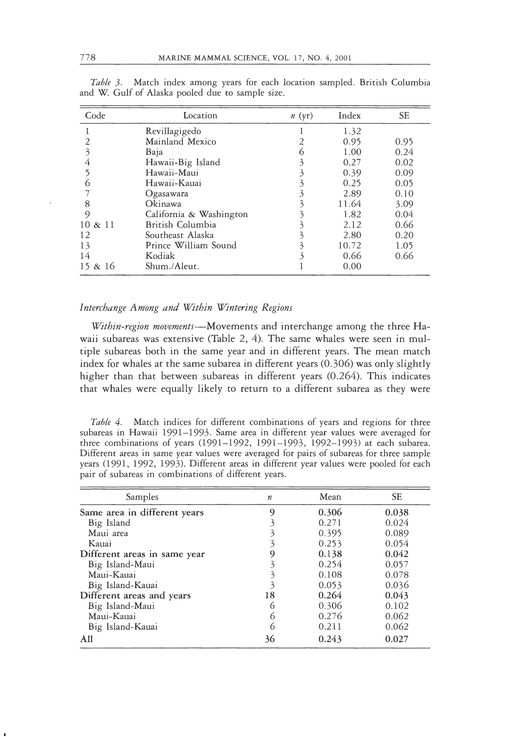| Code       | Location                | n(yr) | Index | <b>SE</b> |
|------------|-------------------------|-------|-------|-----------|
|            | Revillagigedo           |       | 1.32  |           |
|            | Mainland Mexico         |       | 0.95  | 0.95      |
|            | Baja                    | ั (า  | 1.00  | 0.24      |
|            | Hawaii-Big Island       | 3     | 0.27  | 0.02      |
|            | Hawaii-Maui             |       | 0.39  | 0.09      |
|            | Hawaii-Kauai            |       | 0.25  | 0.05      |
|            | Ogasawara               |       | 2.89  | 0.10      |
| 8          | Okinawa                 |       | 11.64 | 3.09      |
| 9          | California & Washington |       | 1.82  | 0.04      |
| $10 \& 11$ | British Columbia        |       | 2.12  | 0.66      |
| 12         | Southeast Alaska        |       | 2.80  | 0.20      |
| 13         | Prince William Sound    |       | 10.72 | 1.05      |
| 14         | Kodiak                  |       | 0.66  | 0.66      |
| 15 & 16    | Shum./Aleut.            |       | 0.00  |           |

Big Island-Maui 6 0.306 0.102 Table 3. Match index among years for each location sampled. British Colur and W. Gulf of Alaska pooled due to sample size.

#### Interchange Among and Within Wintering Regions

Within-region movements-Movements and interchange among the three Hawaii subareas was extensive (Table  $2$ ,  $4$ ). The same whales were seen in multiple subareas both in the same year and in different years. The mean match index for whales at the same subarea in different years (0.306) was only slightly higher than that between subareas in different years (0.264). This indicates that whales were equally likely to return to a different subarea as they were

Table 4. Match indices for different combinations of years and regions for three subareas in Hawaii 1991-1993. Same area in different year values were averaged for three combinations of years (1991-1992, 1991-1993, 1992-1993) at each subarea. Different areas in same year values were averaged for pairs of subareas for three sample years (1991, 1992, 1993). Different areas in different year values were pooled for each pair of subareas in combinations of different years.

| Samples                      | $\boldsymbol{n}$ | Mean  | <b>SE</b> |
|------------------------------|------------------|-------|-----------|
| Same area in different years | 9                | 0.306 | 0.038     |
| Big Island                   |                  | 0.271 | 0.024     |
| Maui area                    |                  | 0.395 | 0.089     |
| Kauai                        |                  | 0.253 | 0.054     |
| Different areas in same year |                  | 0.138 | 0.042     |
| Big Island-Maui              | 3                | 0.254 | 0.057     |
| Maui-Kauai                   |                  | 0.108 | 0.078     |
| Big Island-Kauai             |                  | 0.053 | 0.036     |
| Different areas and years    | 18               | 0.264 | 0.043     |
| Big Island-Maui              |                  | 0.306 | 0.102     |
| Maui-Kauai                   | O)               | 0.276 | 0.062     |
| Big Island-Kauai             | $\circ$          | 0.211 | 0.062     |
| All                          | 36               | 0.243 | 0.027     |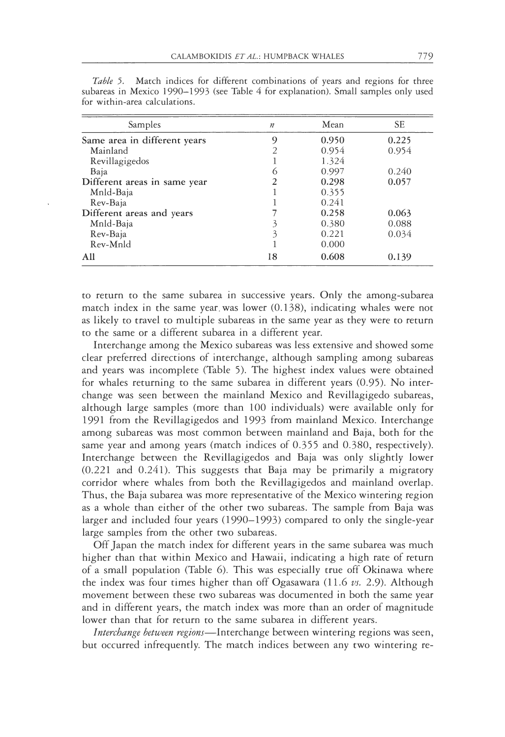| Samples                      | $\boldsymbol{n}$ | Mean  | <b>SE</b> |
|------------------------------|------------------|-------|-----------|
| Same area in different years | 9                | 0.950 | 0.225     |
| Mainland                     |                  | 0.954 | 0.954     |
| Revillagigedos               |                  | 1.324 |           |
| Baja                         | $\circ$          | 0.997 | 0.240     |
| Different areas in same year |                  | 0.298 | 0.057     |
| Mnld-Baja                    |                  | 0.355 |           |
| Rev-Baja                     |                  | 0.241 |           |
| Different areas and years    |                  | 0.258 | 0.063     |
| Mnld-Baja                    |                  | 0.380 | 0.088     |
| Rev-Baja                     | 3                | 0.221 | 0.034     |
| Rev-Mnld                     |                  | 0.000 |           |
| All                          | 18               | 0.608 | 0.139     |

Table 5. Match indices for different combinations of years and regions for three subareas in Mexico 1990–1993 (see Table 4 for explanation). Small samples only used for within-area calculations.

to return to the same subarea in successive years. Only the among-subarea match index in the same year was lower (0.138), indicating whales were not as likely to travel to multiple subareas in the same year as they were to return to the same or a different subarea in a different year.

Interchange among the Mexico subareas was less extensive and showed some clear preferred directions of interchange, although sampling among subareas and years was incomplete (Table 5). The highest index values were obtained for whales returning to the same subarea in different years (0.95). No interchange was seen between the mainland Mexico and Revillagigedo subareas, although large samples (more than 100 individuals) were available only for 1991 from the Revillagigedos and 1993 from mainland Mexico. Interchange among subareas was most common between mainland and Baja, both for the same year and among years (match indices of 0.355 and 0.380, respectively). Interchange between the Revillagigedos and Baja was only slightly lower (0.221 and 0.241). This suggests that Baja may be primarily a migratory corridor where whales from both the Revillagigedos and mainland overlap. Thus, the Baja subarea was more representative of the Mexico wintering region as a whole than either of the other two subareas. The sample from Baja was larger and included four years  $(1990-1993)$  compared to only the single-year large samples from the other two subareas.

Off Japan the match index for different years in the same subarea was much higher than that within Mexico and Hawaii, indicating a high rate of return of a small population (Table 6). This was especially true off Okinawa where the index was four times higher than off Ogasawara (11.6 vs. 2.9). Although movement between these two subareas was documented in both the same year and in different years, the match index was more than an order of magnitude lower than that for return to the same subarea in different years.

Interchange between regions-Interchange between wintering regions was seen, but occurred infrequently. The match indices between any two wintering re-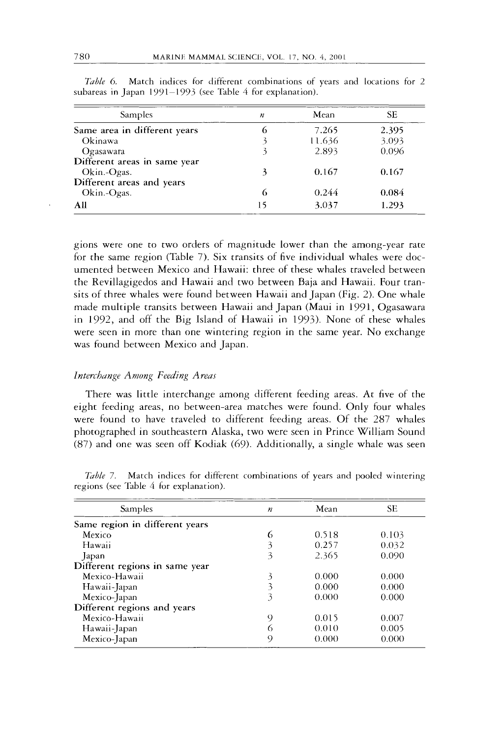| <b>Samples</b>               | n  | Mean   | SЕ    |
|------------------------------|----|--------|-------|
| Same area in different years | 6  | 7.265  | 2.395 |
| Okinawa                      |    | 11.636 | 3.093 |
| Ogasawara                    |    | 2.893  | 0.096 |
| Different areas in same year |    |        |       |
| Okin.-Ogas.                  | 3  | 0.167  | 0.167 |
| Different areas and years    |    |        |       |
| Okin.-Ogas.                  | 6  | 0.244  | 0.084 |
| All                          | 15 | 3.037  | 1.293 |

*Table 6.* Match indices for different combinations of years and locations for 2 subareas in Japan 1991-1993 (see Table *4* for explanation).

gions were one to two orders of magnitude lower than the among-year rate for the same region (Table 7). Six transits of five individual whales were documented between Mexico and Hawaii: three of these whales traveled between the Revillagigedos and Hawaii and two between Baja and Hawaii. Four transits of three whales were found between Hawaii and Japan (Fig. 2). One whale made multiple transits between Hawaii and Japan (Maui in 1991, Ogasawara in 1992, and off the Big Island of Hawaii in 1993). None of these whales were seen in more than one wintering region in the same year. No exchange was found between Mexico and Japan.

#### *Interchange Among Feeding Areas*

There was little interchange among different feeding areas. At five of the eight feeding areas, no between-area matches were found. Only four whales were found to have traveled to different feeding areas. Of the 287 whales photographed in southeastern Alaska, two were seen in Prince William Sound (87) and one was seen off Kodiak (69). Additionally, a single whale was seen

| Samples                        | $\boldsymbol{n}$ | Mean  | <b>SE</b> |
|--------------------------------|------------------|-------|-----------|
| Same region in different years |                  |       |           |
| Mexico                         | 6                | 0.518 | 0.103     |
| Hawaii                         | 3                | 0.257 | 0.032     |
| Japan                          | 3                | 2.365 | 0.090     |
| Different regions in same year |                  |       |           |
| Mexico-Hawaii                  | 3                | 0.000 | 0.000     |
| Hawaii-Japan                   | 3                | 0.000 | 0.000     |
| Mexico-Japan                   | 3                | 0.000 | 0.000     |
| Different regions and years    |                  |       |           |
| Mexico-Hawaii                  | 9                | 0.015 | 0.007     |
| Hawaii-Japan                   | O.               | 0.010 | 0.005     |
| Mexico-Japan                   | O)               | 0.000 | 0.000     |

*Table* 7. Match indices for different combinations of years and pooled wintering regions (see Table 4 for explanation).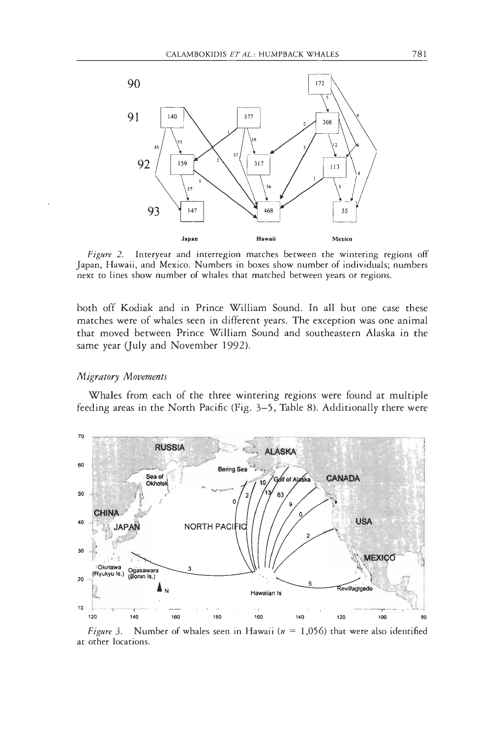

Figure 2. Interyear and interregion matches between the wintering regions off Japan, Hawaii, and Mexico. Numbers in boxes show number of individuals; numbers next to lines show number of whales that matched between years or regions.

both off Kodiak and in Prince William Sound. In all but one case these matches were of whales seen in different years. The exception was one animal that moved between Prince William Sound and southeastern Alaska in the same year (July and November 1992).

#### Migratory Movements

Whales from each of the three wintering regions were found at multiple feeding areas in the North Pacific (Fig. 3-5, Table 8). Additionally there were



Number of whales seen in Hawaii ( $n = 1,056$ ) that were also identified Figure 3. at other locations.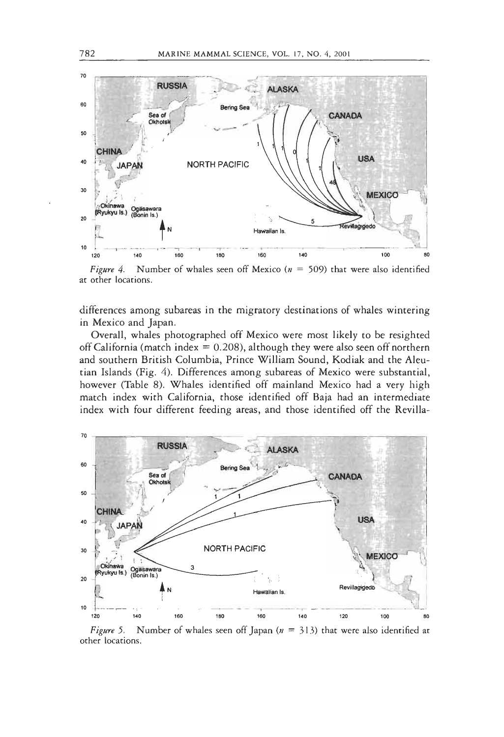

Figure 4. Number of whales seen off Mexico ( $n = 509$ ) that were also identified at other locations.

differences among subareas in the migratory destinations of whales wintering in Mexico and Japan.

Overall, whales photographed off Mexico were most likely to be resighted off California (match index =  $0.208$ ), although they were also seen off northern and southern British Columbia, Prince William Sound, Kodiak and the Aleutian Islands (Fig. 4). Differences among subareas of Mexico were substantial, however (Table 8). Whales identified off mainland Mexico had a very high match index with California, those identified off Baja had an intermediate index with four different feeding areas, and those identified off the Revilla-



Figure 5. Number of whales seen off Japan ( $n = 313$ ) that were also identified at other locations.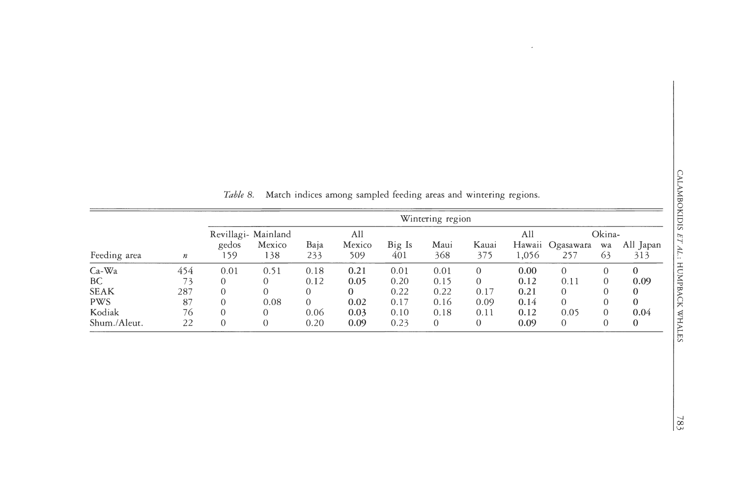|              |                  |       |                               |          |               |        | Wintering region |          |       |                  |              |           |
|--------------|------------------|-------|-------------------------------|----------|---------------|--------|------------------|----------|-------|------------------|--------------|-----------|
|              |                  | gedos | Revillagi- Mainland<br>Mexico | Baja     | All<br>Mexico | Big Is | Maui             | Kauai    | All   | Hawaii Ogasawara | Okina-<br>wa | All Japan |
| Feeding area | $\boldsymbol{n}$ | 159   | 138                           | 233      | 509           | 401    | 368              | 375      | 1,056 | 257              | 63           | 313       |
| $Ca-Wa$      | 454              | 0.01  | 0.51                          | 0.18     | 0.21          | 0.01   | 0.01             | $\Omega$ | 0.00  | $\Omega$         |              | $\theta$  |
| BC.          | 73               |       |                               | 0.12     | 0.05          | 0.20   | 0.15             | $\Omega$ | 0.12  | 0.11             |              | 0.09      |
| <b>SEAK</b>  | 287              |       |                               | $\theta$ | $\theta$      | 0.22   | 0.22             | 0.17     | 0.21  | $^{(1)}$         |              |           |
| <b>PWS</b>   | 87               |       | 0.08                          | $\Omega$ | 0.02          | 0.17   | 0.16             | 0.09     | 0.14  | 0                |              |           |
| Kodiak       | 76               |       |                               | 0.06     | 0.03          | 0.10   | 0.18             | 0.11     | 0.12  | 0.05             |              | 0.04      |
| Shum./Aleut. | 22               | 0     | $\Omega$                      | 0.20     | 0.09          | 0.23   | 0                |          | 0.09  | 0                |              | $\theta$  |

Table 8. Match indices among sampled feeding areas and wintering regions.

 $\sim 10^{-1}$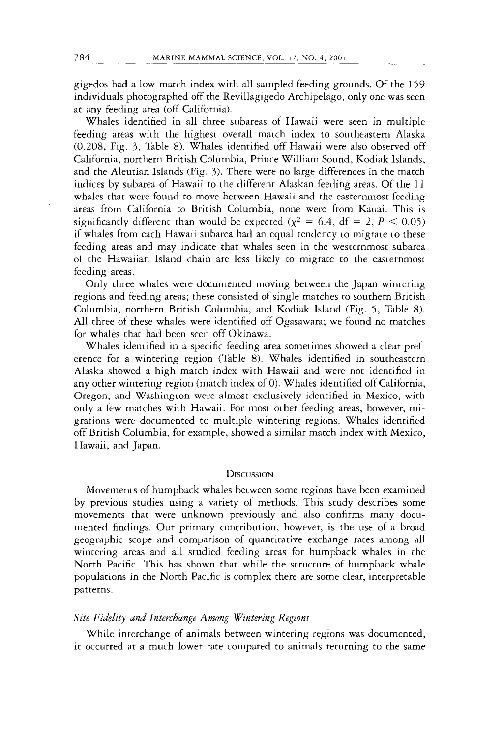gigedos had a low match index with all sampled feeding grounds. Of the 159 individuals photographed off the Revillagigedo Archipelago, only one was seen at any feeding area (off California).

Whales identified in all three subareas of Hawaii were seen in multiple feeding areas with the highest overall match index to southeastern Alaska (0.208, Fig. 3, Table 8). Whales identified off Hawaii were also observed off California, northern British Columbia, Prince William Sound, Kodiak Islands, and the Aleutian Islands (Fig. 3). There were no large differences in the match indices by subarea of Hawaii to the different Alaskan feeding areas. Of the 11 whales that were found to move between Hawaii and the easternmost feeding areas from California to British Columbia, none were from Kauai. This is significantly different than would be expected  $(\chi^2 = 6.4, df = 2, P < 0.05)$ if whales from each Hawaii subarea had an equal tendency to migrate to these feeding areas and may indicate that whales seen in the westernmost subarea of the Hawaiian Island chain are less likely to migrate to the easternmost feeding areas.

Only three whales were documented moving between the Japan wintering regions and feeding areas; these consisted of single matches to southern British Columbia, northern British Columbia, and Kodiak Island (Fig. 5, Table 8). All three of these whales were identified off Ogasawara; we found no matches for whales that had been seen off Okinawa.

Whales identified in a specific feeding area sometimes showed a clear preference for a wintering region (Table 8). Whales identified in southeastern Alaska showed a high match index with Hawaii and were not identified in any other wintering region (match index of 0). Whales identified off California, Oregon, and Washington were almost exclusively identified in Mexico, with only a few matches with Hawaii. For most other feeding areas, however, migrations were documented to multiple wintering regions. Whales identified off British Columbia, for example, showed a similar match index with Mexico, Hawaii, and Japan.

#### **DISCUSSION**

Movements of humpback whales between some regions have been examined by previous studies using a variety of methods. This study describes some movements that were unknown previously and also confirms many documented findings. Our primary contribution, however, is the use of a broad geographic scope and comparison of quantitative exchange rates among all wintering areas and all studied feeding areas for humpback whales in the North Pacific. This has shown that while the structure of humpback whale populations in the North Pacific is complex there are some clear, interpretable patterns.

#### *Site Fidelity and Interchange Among Wintering Regions*

While interchange of animals between wintering regions was documented, it occurred at a much lower rate compared to animals returning to the same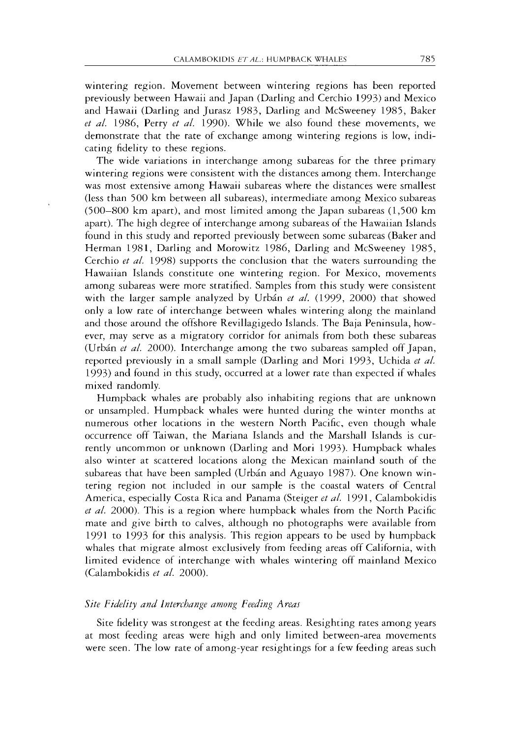wintering region. Movement between wintering regions has been reported previously between Hawaii and Japan (Darling and Cerchio 1993) and Mexico and Hawaii (Darling and Jurasz 1983, Darling and McSweeney 1985, Baker *et al.* 1986, Perry *et al.* 1990). While we also found these movements, we demonstrate that the rate of exchange among wintering regions is low, indicating fidelity to these regions.

The wide variations in interchange among subareas for the three primary wintering regions were consistent with the distances among them. Interchange was most extensive among Hawaii subareas where the distances were smallest (less than 500 km between all subareas), intermediate among Mexico subareas (500-800 km apart), and most limited among the Japan subareas (1,500 km apart). The high degree of interchange among subareas of the Hawaiian Islands found in this study and reported previously between some subareas (Baker and Herman 1981, Darling and Morowitz 1986, Darling and McSweeney 1985, Cerchio *et al.* 1998) supports the conclusion that the waters surrounding the Hawaiian Islands constitute one wintering region. For Mexico, movements among subareas were more stratified. Samples from this study were consistent with the larger sample analyzed by Urbán et al. (1999, 2000) that showed only a low rate of interchange between whales wintering along the mainland and those around the offshore Revillagigedo Islands. The Baja Peninsula, however, may serve as a migratory corridor for animals from both these subareas (Urb6n *et al.* 2000). Interchange among the two subareas sampled off Japan, reported previously in a small sample (Darling and Mori 1993, Uchida *et al.*  1993) and found in this study, occurred at a lower rate than expected if whales mixed randomly.

Humpback whales are probably also inhabiting regions that are unknown or unsampled. Humpback whales were hunted during the winter months at numerous other locations in the western North Pacific, even though whale occurrence off Taiwan, the Mariana Islands and the Marshall Islands is currently uncommon or unknown (Darling and Mori 1993). Humpback whales also winter at scattered locations along the Mexican mainland south of the subareas that have been sampled (Urbán and Aguayo 1987). One known wintering region not included in our sample is the coastal waters of Central America, especially Costa Rica and Panama (Steiger *et al.* 1991, Calambokidis *et al.* 2000). This is a region where humpback whales from the North Pacific mate and give birth to calves, although no photographs were available from 1991 to 1993 for this analysis. This region appears to be used by humpback whales that migrate almost exclusively from feeding areas off California, with limited evidence of interchange with whales wintering off mainland Mexico (Calambokidis *et a/.* 2000).

#### *Site Fidelity and Interchange among Feeding Areaj*

Site fidelity was strongest at the feeding areas. Resighting rates among years at most feeding areas were high and only limited between-area movements were seen. The low rate of among-year resightings for a few feeding areas such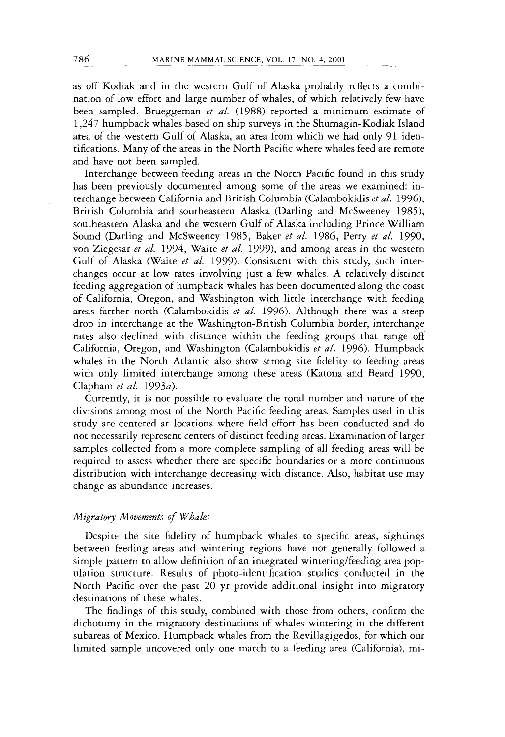as off Kodiak and in the western Gulf of Alaska probably reflects a combination of low effort and large number of whales, of which relatively few have been sampled. Brueggeman *et al.* (1988) reported a minimum estimate of 1,247 humpback whales based on ship surveys in the Shumagin-Kodiak Island area of the western Gulf of Alaska, an area from which we had only 91 identifications. Many of the areas in the North Pacific where whales feed are remote and have not been sampled.

Interchange between feeding areas in the North Pacific found in this study has been previously documented among some of the areas we examined: interchange between California and British Columbia (Calambokidis *et al.* 1996), British Columbia and southeastern Alaska (Darling and McSweeney 1985), southeastern Alaska and the western Gulf of Alaska including Prince William Sound (Darling and McSweeney 1985, Baker *et al.* 1986, Perry *et a/.* 1990, von Ziegesar *et al.* 1994, Waite *et al.* 1999), and among areas in the western Gulf of Alaska (Waite *et al.* 1999). Consistent with this study, such interchanges occur at low rates involving just a few whales. A relatively distinct feeding aggregation of humpback whales has been documented along the coast of California, Oregon, and Washington with little interchange with feeding areas farther north (Calambokidis *et al.* 1996). Although there was a steep drop in interchange at the Washington-British Columbia border, interchange rates also declined with distance within the feeding groups that range off California, Oregon, and Washington (Calambokidis *et al.* 1996). Humpback whales in the North Atlantic also show strong site fidelity to feeding areas with only limited interchange among these areas (Katona and Beard 1990, Clapham *et al.* 1993a).

Currently, it is not possible to evaluate the total number and nature of the divisions among most of the North Pacific feeding areas. Samples used in this study are centered at locations where field effort has been conducted and do not necessarily represent centers of distinct feeding areas. Examination of larger samples collected from a more complete sampling of all feeding areas will be required to assess whether there are specific boundaries or a more continuous distribution with interchange decreasing with distance. Also, habitat use may change as abundance increases.

# *Migratory Movements of Whales*

Despite the site fidelity of humpback whales to specific areas, sightings between feeding areas and wintering regions have not generally followed a simple pattern to allow definition of an integrated wintering/feeding area population structure. Results of photo-identification studies conducted in the North Pacific over the past 20 yr provide additional insight into migratory destinations of these whales.

The findings of this study, combined with those from others, confirm the dichotomy in the migratory destinations of whales wintering in the different subareas of Mexico. Humpback whales from the Revillagigedos, for which our limited sample uncovered only one match to a feeding area (California), mi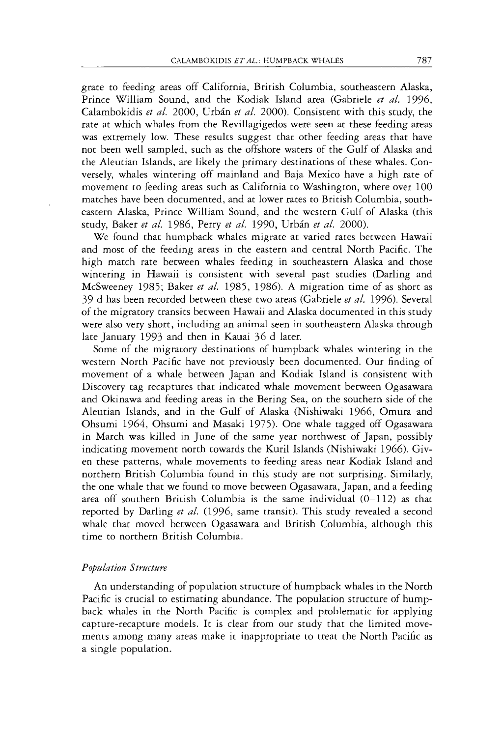grate to feeding areas off California, British Columbia, southeastern Alaska, Prince William Sound, and the Kodiak Island area (Gabriele *et al.* 1996, Calambokidis *et al.* 2000, Urbin *et al.* 2000). Consistent with this study, the rate at which whales from the Revillagigedos were seen at these feeding areas was extremely low. These results suggest that other feeding areas that have not been well sampled, such as the offshore waters of the Gulf of Alaska and the Aleutian Islands, are likely the primary destinations of these whales. Conversely, whales wintering off mainland and Baja Mexico have a high rate of movement to feeding areas such as California to Washington, where over 100 matches have been documented, and at lower rates to British Columbia, southeastern Alaska, Prince William Sound, and the western Gulf of Alaska (this study, Baker *et al.* 1986, Perry *et al.* 1990, Urbin *et al.* 2000).

We found that humpback whales migrate at varied rates between Hawaii and most of the feeding areas in the eastern and central North Pacific. The high match rate between whales feeding in southeastern Alaska and those wintering in Hawaii is consistent with several past studies (Darling and McSweeney 1985; Baker *et al.* 1985, 1986). *A* migration time of as short as 39 d has been recorded between these two areas (Gabriele *et al.* 1996). Several of the migratory transits between Hawaii and Alaska documented in this study were also very short, including an animal seen in southeastern Alaska through late January 1993 and then in Kauai 36 d later.

Some of the migratory destinations of humpback whales wintering in the western North Pacific have not previously been documented. Our finding of movement of a whale between Japan and Kodiak Island is consistent with Discovery tag recaptures that indicated whale movement between Ogasawara and Okinawa and feeding areas in the Bering Sea, on the southern side of the Aleutian Islands, and in the Gulf of Alaska (Nishiwaki 1966, Omura and Ohsumi 1964, Ohsumi and Masaki 1975). One whale tagged off Ogasawara in March was killed in June of the same year northwest of Japan, possibly indicating movement north towards the Kuril Islands (Nishiwaki 1966). Given these patterns, whale movements to feeding areas near Kodiak Island and northern British Columbia found in this study are not surprising. Similarly, the one whale that we found to move between Ogasawara, Japan, and a feeding area off southern British Columbia is the same individual (0-1 12) as that reported by Darling *et al.* (1996, same transit). This study revealed a second whale that moved between Ogasawara and British Columbia, although this time to northern British Columbia.

## *Population Structure*

An understanding of population structure of humpback whales in the North Pacific is crucial to estimating abundance. The population structure of humpback whales in the North Pacific is complex and problematic for applying capture-recapture models. It is clear from our study that the limited movements among many areas make it inappropriate to treat the North Pacific as a single population.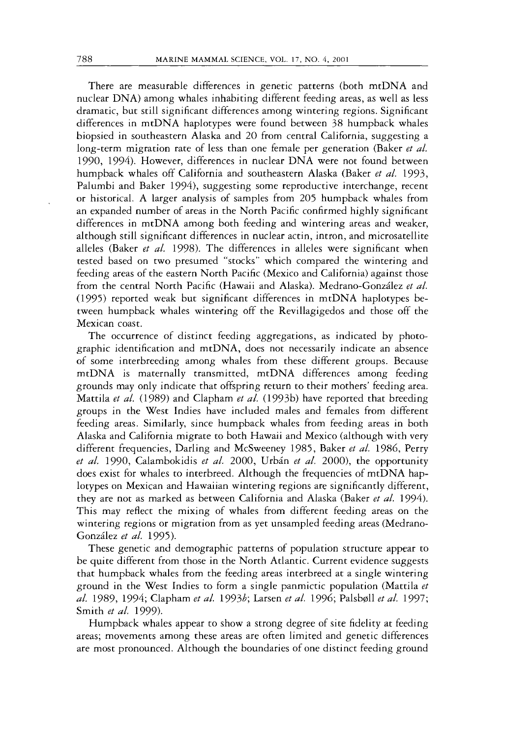There are measurable differences in genetic patterns (both mtDNA and nuclear DNA) among whales inhabiting different feeding areas, as well as less dramatic, but still significant differences among wintering regions. Significant differences in mtDNA haplotypes were found between 38 humpback whales biopsied in southeastern Alaska and 20 from central California, suggesting a long-term migration rate of less than one female per generation (Baker *et al.*  1990, 1994). However, differences in nuclear DNA were not found between humpback whales off California and southeastern Alaska (Baker *et al.* 1993, Palumbi and Baker 1994), suggesting some reproductive interchange, recent or historical. A larger analysis of samples from 205 humpback whales from an expanded number of areas in the North Pacific confirmed highly significant differences in mtDNA among both feeding and wintering areas and weaker, although still significant differences in nuclear actin, intron, and microsatellite alleles (Baker *et al.* 1998). The differences in alleles were significant when tested based on two presumed "stocks" which compared the wintering and feeding areas of the eastern North Pacific (Mexico and California) against those from the central North Pacific (Hawaii and Alaska). Medrano-Gonzdez *et al.*  (1995) reported weak but significant differences in mtDNA haplotypes between humpback whales wintering off the Revillagigedos and those off the Mexican coast.

The occurrence of distinct feeding aggregations, as indicated by photographic identification and mtDNA, does not necessarily indicate an absence of some interbreeding among whales from these different groups. Because mtDNA is maternally transmitted, mtDNA differences among feeding grounds may only indicate that offspring return to their mothers' feeding area. Mattila *et al.* (1989) and Clapham *et al.* (1993b) have reported that breeding groups in the West Indies have included males and females from different feeding areas. Similarly, since humpback whales from feeding areas in both Alaska and California migrate to both Hawaii and Mexico (although with very different frequencies, Darling and McSweeney 1985, Baker *et al.* 1986, Perry et *al.* 1990, Calambokidis *et al.* 2000, Urbán *et al.* 2000), the opportunity does exist for whales to interbreed. Although the frequencies of mtDNA haplotypes on Mexican and Hawaiian wintering regions are significantly different, they are not as marked as between California and Alaska (Baker *et al.* 1994). This may reflect the mixing of whales from different feeding areas on the wintering regions or migration from as yet unsampled feeding areas (Medrano-Gonz6lez *et al.* 1995).

These genetic and demographic patterns of population structure appear to be quite different from those in the North Atlantic. Current evidence suggests that humpback whales from the feeding areas interbreed at a single wintering ground in the West Indies to form a single panmictic population (Mattila *et al.* 1989, 1994; Clapham *et al.* 19936; Larsen *et al.* 1996; Palsboll *et al.* 1997; Smith *et al.* 1999).

Humpback whales appear to show a strong degree of site fidelity at feeding areas; movements among these areas are often limited and genetic differences are most pronounced. Although the boundaries of one distinct feeding ground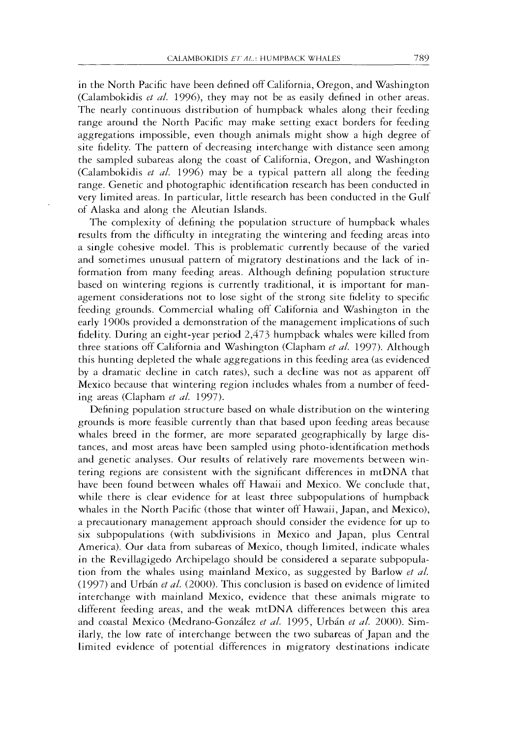in the North Pacific have been defined off California, Oregon, and Washington (Calambokidis *et dl.* 1996), they may not be as easily defined in other areas. The nearly continuous distribution of humpback whales along their feeding range around the North Pacific may make setting exact borders for feeding aggregations impossible, even though animals might show a high degree of site fidelity. The pattern of decreasing interchange with distance seen among the sampled subareas along the coast of California, Oregon, and Washington (Calambokidis *et al.* 1996) may be a typical pattern all along the feeding range. Genetic and photographic identification research has been conducted in very limited areas. In particular, little research has been conducted in the Gulf of Alaska and along the Aleutian Islands.

The complexity of defining the population structure of humpback whales results from the difficulty in integrating the wintering and feeding areas into a single cohesive model. This is problematic currently because of the varied and sometimes unusual pattern of migratory destinations and the lack of information from many feeding areas. Although defining population structure based on wintering regions is currently traditional, it is important for management considerations not to lose sight of the strong site fidelity to specific feeding grounds. Commercial whaling off California and Washington in the early 1900s provided a demonstration of the management implications of such fidelity. During an eight-year period 2,473 humpback whales were killed from three stations off California and Washington (Clapham *et al.* 1997). Although this hunting depleted the whale aggregations in this feeding area (as evidenced by a dramatic decline in catch rates), such a decline was not as apparent off Mexico because that wintering region includes whales from a number of feeding areas (Clapham *et al.* 1997).

Defining population structure based on whale distribution on the wintering grounds is more feasible currently than that based upon feeding areas because whales breed in the former, are more separated geographically by large distances, and most areas have been sampled using photo-identification methods and genetic analyses. Our results of relatively rare movements between wintering regions are consistent with the significant differences in mtDNA that have been found between whales off Hawaii and Mexico. We conclude that, while there is clear evidence for at least three subpopulations of humpback whales in the North Pacific (those that winter off Hawaii, Japan, and Mexico), a precautionary management approach should consider the evidence for up to six subpopulations (with subdivisions in Mexico and Japan, plus Central America). Our data from subareas of Mexico, though limited, indicate whales in the Revillagigedo Archipelago should be considered a separate subpopulation from the whales using mainland Mexico, as suggested by Barlow *et al.*  (1997) and Urbán et al. (2000). This conclusion is based on evidence of limited interchange with mainland Mexico, evidence that these animals migrate to different feeding areas, and the weak mtDNA differences between this area and coastal Mexico (Medrano-Gonziilez *et al.* 1995, Urbin *et al.* 2000). Similarly, the low rate of interchange between the two subareas of Japan and the limited evidence of potential differences in migratory destinations indicate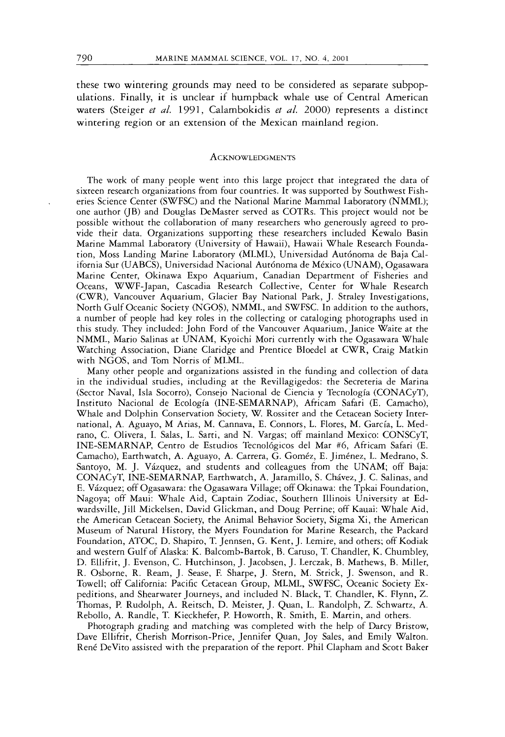these two wintering grounds may need to be considered as separate subpopulations. Finally, it is unclear if humpback whale use of Central American waters (Steiger *et al.* 1991, Calambokidis *et al.* 2000) represents a distinct wintering region or an extension of the Mexican mainland region.

#### **ACKNOWLEDGMENTS**

The work of many people went into this large project that integrated the data of sixteen research organizations from four countries. It was supported by Southwest Fisheries Science Center (SWFSC) and the National Marine Mammal Laboratory (NMML); one author (JB) and Douglas DeMaster served as COTRs. This project would not be possible without the collaboration of many researchers who generously agreed to provide their data. Organizations supporting these researchers included Kewalo Basin Marine Mammal Laboratory (University of Hawaii), Hawaii Whale Research Foundation, Moss Landing Marine Laboratory (MLML), Universidad Autónoma de Baja California Sur (UABCS), Universidad Nacional Aut6noma de Mexico (UNAM), Ogasawara Marine Center, Okinawa Expo Aquarium, Canadian Department of Fisheries and Oceans, WWF-Japan, Cascadia Research Collective, Center for Whale Research (CWR), Vancouver Aquarium, Glacier Bay National Park, J. Straley Investigations, North Gulf Oceanic Society (NGOS), NMML, and SWFSC. In addition to the authors, a number of people had key roles in the collecting or cataloging photographs used in this study. They included: John Ford of the Vancouver Aquarium, Janice Waite at the NMML, Mario Salinas at UNAM, Kyoichi Mori currently with the Ogasawara Whale Watching Association, Diane Claridge and Prentice Bloedel at CWR, Craig Matkin with NGOS, and Tom Norris of MLML.

Many other people and organizations assisted in the funding and collection of data in the individual studies, including at the Revillagigedos: the Secreteria de Marina (Sector Naval, Isla Socorro), Consejo Nacional de Ciencia y Tecnologia (CONACyT), Instituto Nacional de Ecologia (INE-SEMARNAP), Africam Safari (E. Camacho), Whale and Dolphin Conservation Society, W. Rossiter and the Cetacean Society International, **A.** Aguayo, M Arias, M. Cannava, E. Connors, L. Flores, M. Garcia, L. Medrano, C. Olivera, I. Salas, L. Sarti, and N. Vargas; off mainland Mexico: CONSCyT, INE-SEMARNAP, Centro de Estudios Tecnol6gicos del Mar *#6,* Africam Safari (E. Camacho), Earthwatch, A. Aguayo, A. Carrera, G. Gomez, E. Jimenez, L. Medrano, S. Santoyo, M. J. Vizquez, and students and colleagues from the UNAM; off Baja: CONACyT, INE-SEMARNAP, Earthwatch, A. Jaramillo, S. Chivez, J. C. Salinas, and E. Vizquez; off Ogasawara: the Ogasawara Village; off Okinawa: the Tpkai Foundation, Nagoya; off Maui: Whale Aid, Captain Zodiac, Southern Illinois University at Edwardsville, Jill Mickelsen, David Glickman, and Doug Perrine; off Kauai: Whale Aid, the American Cetacean Society, the Animal Behavior Society, Sigma Xi, the American Museum of Natural History, the Myers Foundation for Marine Research, the Packard Foundation, ATOC, D. Shapiro, T. Jennsen, G. Kent, J. Lemire, and others; off Kodiak and western Gulf of Alaska: K. Balcomb-Bartok, B. Caruso, T. Chandler, K. Chumbley, D. Ellifrit, J. Evenson, C. Hutchinson, J. Jacobsen, J. Lerczak, B. Mathews, B. Miller, R. Osborne, R. Ream, J. Sease, F. Sharpe, J. Stern, M. Strick, J. Swenson, and R. Towell; off California: Pacific Cetacean Group, MLML, SWFSC, Oceanic Society Expeditions, and Shearwater Journeys, and included N. Black, T. Chandler, K. Flynn, 2. Thomas, P. Rudolph, A. Reitsch, D. Meister, J. Quan, L. Randolph, Z. Schwartz, A. Rebollo, A. Randle, T. Kieckhefer, P. Howorth, R. Smith, E. Martin, and others.

Photograph grading and matching was completed with the help of Darcy Bristow, Dave Ellifrit, Cherish Morrison-Price, Jennifer Quan, Joy Sales, and Emily Walton. René DeVito assisted with the preparation of the report. Phil Clapham and Scott Baker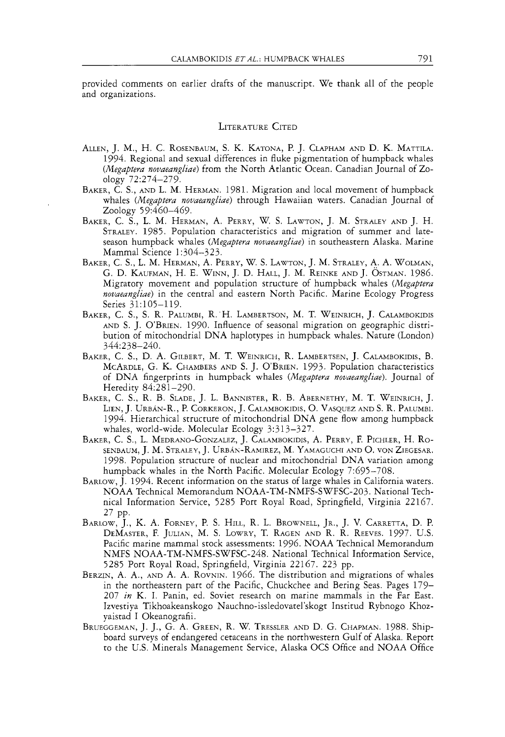provided comments on earlier drafts of the manuscript. We thank all of the people and organizations.

#### **LITERATURE CITED**

- ALLEN, J. M., H. C. ROSENBAUM, S. K. KATONA, P. J. CLAPHAM AND D. K. MATTILA. 1994. Regional and sexual differences in Auke pigmentation of humpback whales *(Megaptera nouaeangliae)* from the North Atlantic Ocean. Canadian Journal of Zoology 72:274-279.
- BAKER, C. S., AND L. M. HERMAN. 1981. Migration and local movement of humpback whales *(Megaptera novaeangliae)* through Hawaiian waters. Canadian Journal of Zoology 59:460-469.
- BAKER, C. S., L. M. HERMAK, A. PERRY, W. S. LAWTON, J. M. STRALEY AND J. H. STRALEY. 1985. Population characteristics and migration of summer and lateseason humpback whales *(Megaptera nouaeangliae)* in southeastern Alaska. Marine Mammal Science 1:304-323.
- BAKER, C. S., L. M. HERMAN, A. PERRY, W. S. LAWTON, J. M. STRALEY, A. A. WOLMAN, G. D. KAUFMAN, H. E. WINN, J. D. HALL, J. M. REINKE AND J. OSTMAN. 1986. Migratory movement and population structure of humpback whales *(Megaptera nouaeangliae)* in the central and eastern North Pacific. Marine Ecology Progress Series 31:105-119.
- BAKER, C. S., S. R. PALUMBI, R.'H. LAMBERTSON, M. T. WEINRICH, J. CALAMBOKIDIS AND S. J. O'BRIEN. 1990. Influence of seasonal migration on geographic distribution of mitochondrial DNA haplotypes in humpback whales. Nature (London) 344:238-240.
- BAKER, C. S., D. A. GILBERT, M. T. WEINRICH, R. LAMBERTSEN, J. CALAMBOKIDIS, B. MCARDLE, G. K. CHAMBERS AND S. J. O'BRIEN. 1993 Population characteristics of DNA fingerprints in humpback whales *(Megaptera novaeangliae).* Journal of Heredity 84:281-290.
- BAKER, C. S., R. B. SLADE, J. L. BANNISTER, R.B. ABERNETHY, M. T. WEINRICH, J. LIEN, J. URBAN-R., P. CORKERON, J. CALAMBOKIDIS, 0. VASQUEZ AND S. R. PALUMBI. 1994. Hierarchical structure of mitochondrial DNA gene flow among humpback whales, world-wide. Molecular Ecology 3:313-327.
- BAKER, C. S., L. MEDRANO-GONZALEZ, J. CALAMBOKIDIS, A. PERRY, F. PICHLER, H. RO-SENBAUM, J. M. STRALEY, J. URBAK-RAMIREZ, M. YAMAGUCHI AND O. VON ZIEGESAR. 1998. Population structure of nuclear and mitochondrial DNA variation among humpback whales in the North Pacific. Molecular Ecology 7:695-708.
- BARLOW, J.1994. Recent information on the status of large whales in California waters. NOAA Technical Memorandum NOAA-TM-NMFS-SWFSC-203. National Technical Information Service, 5285 Port Royal Road, Springfield, Virginia 22167. 27 PP.
- BARLOW, J., K. A. FORNEY, P.S. HILL, R. L. BROWNELL, JR., J. V. CARRETTA, D. P. DEMASTER, F. JULIAN, M. S. LOWRY, T. RAGEN AND R. R. REEVES. 1997. U.S. Pacific marine mammal stock assessments: 1996. NOAA Technical Memorandum NMFS NOAA-TM-NMFS-SWFSC-248. National Technical Information Service, 5285 Port Royal Road, Springfield, Virginia 22167. 223 pp.
- BERZIN, A. A,, AND A. A. ROVNIN. 1966. The distribution and migrations of whales in the northeastern part of the Pacific, Chuckchee and Bering Seas. Pages 179- 207 *in* K. I. Panin, ed. Soviet research on marine mammals in the Far East. Izvestiya Tikhoakeanskogo Nauchno-issledovatel'skogt Institud Rybnogo Khozyaistad I Okeanografii.
- BRUEGGEMAN, J. J., G. A. GREEN, R. W. TRESSLER AND D. G. CHAPMAN. 1988. Shipboard surveys of endangered cetaceans in the northwestern Gulf of Alaska. Report to the U.S. Minerals Management Service, Alaska OCS Office and NOAA Office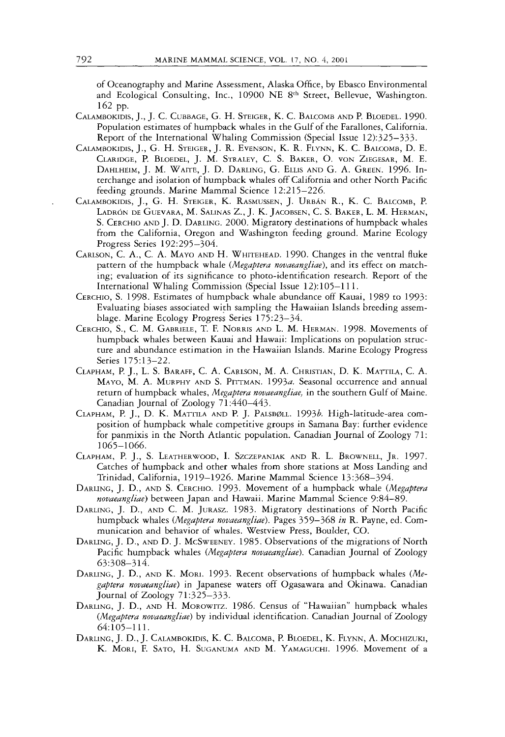of Oceanography and Marine Assessment, Alaska Office, by Ebasco Environmental and Ecological Consulting, Inc., *10900* NE *8th* Street, Bellevue, Washington. *162* pp.

- CALAMBOKIDIS, J., J. C. CUBBAGE, G.H. STEIGER, K. C. BALCOMB AND P. BLOEDEL. *1990.*  Population estimates of humpback whales in the Gulf of the Farallones, California. Report of the International Whaling Commission (Special Issue *12):325-333.*
- CALAMBOKIDIS, J., *G.* H. STEIGER, J. R. EVENSON, K. R. FLYNN, K. C. BALCOMB, D. E. CLARIDGE, P. BLOEDEL, J.M. STRALEY, C. S. BAKER, 0. VON ZIEGESAR, M. E. DAHLHEIM, J. M. WAITE, J. D. DARLING, G. ELLIS AND G. A. GREEN. *1996.* Interchange and isolation of humpback whales off California and other North Pacific feeding grounds. Marine Mammal Science *12:2 15-226.*
- CALAMBOKIDIS, J., G. H. STEIGER, K. RASMUSSEN, J. URBAN R., K. C. BALCOMB, P. LADRÓN DE GUEVARA, M. SALINAS Z., J. K. JACOBSEN, C. S. BAKER, L. M. HERMAN, S. CERCHIO AND J. D. DARLING. *2000.* Migratory destinations of humpback whales from the California, Oregon and Washington feeding ground. Marine Ecology Progress Series *192:295-304.*
- CARLSON, C.A,, C. A. MAYO AND H. WHITEHEAD. *1990.* Changes in the ventral fluke pattern of the humpback whale *(Megaptera novaeangliae),* and its effect on matching; evaluation of its significance to photo-identification research. Report of the International Whaling Commission (Special Issue *12):105-11* 1.
- CERCHIO, S.*1998.* Estimates of humpback whale abundance off Kauai, *1989* to *1993:*  Evaluating biases associated with sampling the Hawaiian Islands breeding assemblage. Marine Ecology Progress Series *175:23-34.*
- CERCHIO, S., C. M. GABRIELE, T. F. NORRIS AND L. M. HERMAN. *1998.* Movements of humpback whales between Kauai and Hawaii: Implications on population structure and abundance estimation in the Hawaiian Islands. Marine Ecology Progress Series *175:13-22.*
- CLAPHAM, P. *J.,* L. S. BARAFF, C. A. CARLSON, M. A. CHRISTIAN, D. K. MATTILA, C. A. MAYO, M. A. MURPHY AND S. PITTMAN. *1993a.* Seasonal occurrence and annual return of humpback whales, *Megaptera novaeangliae,* in the southern Gulf of Maine. Canadian Journal of Zoology 7 1 *:440-443.*
- CLAPHAM, P. J., D. K. MATTILA AND P. J. PALSB@LL. *19936.* High-latitude-area composition of humpback whale competitive groups in Samana Bay: further evidence for panmixis in the North Atlantic population. Canadian Journal of Zoology *71: 1065-1066.*
- CLAPHAM, P.J., S. LEATHERWOOD, I. SZCZEPANIAK AND R. L. BROWNELL, JR. *1997.*  Catches of humpback and other whales from shore stations at Moss Landing and Trinidad, California, *1919-1926.* Marine Mammal Science *13:368-394.*
- DARLING, J. D., AND S. CERCHIO. *1993.* Movement of a humpback whale *(Megaptera novaeangliae)* between Japan and Hawaii. Marine Mammal Science *9:84-89.*
- DARLING, J. D., AND C. M. JURASZ. *1983.* Migratory destinations of North Pacific humpback whales *(Megaptera novaeangliae).* Pages *359-368 in* R. Payne, ed. Communication and behavior of whales. Westview Press, Boulder, CO.
- DARLING, J. D., AND D. J. MCSWEENEY. *1985.* Observations of the migrations of North Pacific humpback whales *(Megaptera novaeangliae).* Canadian Journal of Zoology *63:308-314.*
- DARLING, J. *D.,* AND K. MORI. *1993.* Recent observations of humpback whales *(Megaptera novaeangliae)* in Japanese waters off Ogasawara and Okinawa. Canadian Journal of Zoology 7 *l:325-333.*
- DARLING, J. D., AND H. MOROWITZ. *1986.* Census of "Hawaiian" humpback whales *(Megaptera novaeangliae)* by individual identification. Canadian Journal of Zoology *64105-1* 11.
- DARLING, J. D., J. CALAMBOKIDIS, K. C. BALCOMB, P. BLOEDEL, K. FLYNN, A. MOCHIZUKI, K. MORI, F. SATO, H. SUGANUMA AND M. YAMAGUCHI. *1996.* Movement of a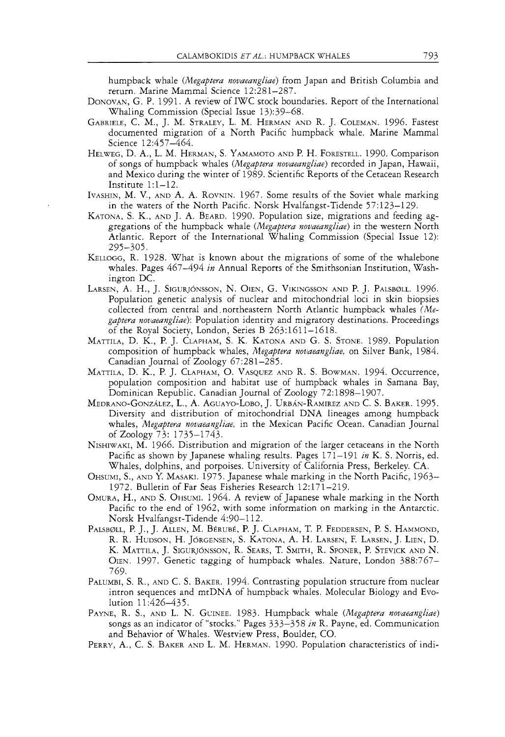humpback whale *(Megaptera novaeangliae)* from Japan and British Columbia and return. Marine Mammal Science 12:28 1-287.

- DONOVAN, G. P. 1991. A review of IWC stock boundaries. Report of the International Whaling Commission (Special Issue 13):39-68.
- GABRIELE, C. M., J. M. STRALEY, L. M. HERMAN AND R. J. COLEMAN. 1996. Fastest documented migration of a North Pacific humpback whale. Marine Mammal Science 12:457-464.
- HELWEG, D. A., L. M. HERMAN, S.YAMAMOTO AND P. H. FORESTELL. 1990. Comparison of songs of humpback whales *(Megaptera novaeangliae)* recorded in Japan, Hawaii, and Mexico during the winter of 1989. Scientific Reports of the Cetacean Research Institute 1:l-12.
- IVASHIN, M. V., AND A. A. ROVNIN. 1967. Some results of the Soviet whale marking in the waters of the North Pacific. Norsk Hvalfangst-Tidende 57: 123-1 29.
- KATONA, S. K., AND J. A. BEARD. 1990. Population size, migrations and feeding aggregations of the humpback whale *(Megaptera novaeangliae)* in the western North Atlantic. Report of the International Whaling Commission (Special Issue 12): 295-305.
- KELLOGG, R. 1928. Whar is known about the migrations of some of the whalebone whales. Pages 467-494 *in* Annual Reports of the Smithsonian Institution, Washington DC.
- LARSEN, A. H., J. SIGURJÓNSSON, N. OIEN, G. VIKINGSSON AND P. J. PALSBØLL. 1996. Population genetic analysis of nuclear and mitochondria1 loci in skin biopsies collected from central and. northeastern North Atlantic humpback whales *(Megaptera novaeangliae):* Population identity and migratory destinations. Proceedings of the Royal Society, London, Series B 263:1611-1618.
- MATTILA, D. K., P. J. CLAPHAM, S. K. KATONA AND G. S. STONE. 1989. Population composition of humpback whales, *Megaptera novaeangliae,* on Silver Bank, 1984. Canadian Journal of Zoology 67:281-285.
- MATTILA, D. K., P. J. CLAPHAM, 0. VASQUEZ AND R. S. BOWMAN. 1994. Occurrence, population composition and habitat use of humpback whales in Samana Bay, Dominican Republic. Canadian Journal of Zoology 72:1898-1907.
- MEDRANO-GONZÁLEZ, L., A. AGUAYO-LOBO, J. URBÁN-RAMIREZ AND C. S. BAKER. 1995. Diversity and distribution of mitochondrial DNA lineages among humpback whales, *Megaptera novaeangliae,* in the Mexican Pacific Ocean. Canadian Journal of Zoology 73: 1735-1743.
- NISHIWAKI, M.1966. Distribution and migration of the larger cetaceans in the North Pacific as shown by Japanese whaling results. Pages 171-191 *in* K. S. Norris, ed. Whales, dolphins, and porpoises. Universiry of California Press, Berkeley. CA.
- OHSUMI, S., AND **Y** MASAKI. 1975. Japanese whale marking in the North Pacific, 1963- 1972. Bulletin of Far Seas Fisheries Research 12:171-219.
- OMURA, H., AND S. OHSUMI. 1964. A review of Japanese whale marking in the North Pacific to the end of 1962, with some information on marking in the Antarctic. Norsk Hvalfangst-Tidende 4:90-112.
- PALSBØLL, P. J., J. ALLEN, M. BÉRUBÉ, P. J. CLAPHAM, T. P. FEDDERSEN, P. S. HAMMOND, R. R. HUDSON, H. JORGENSEN, S. KATONA, A. H. LARSEN, F.LARSEN, J. LIEN, D. K. MATTILA, J. SIGURJÓNSSON, R. SEARS, T. SMITH, R. SPONER, P. STEVICK AND N. OIEN. 1997. Genetic tagging of humpback whales. Nature, London 388:767-769.
- PALUMBI, S. R., AND C. S. BAKER. 1994. Contrasting population structure from nuclear intron sequences and mtDNA of humpback whales. Molecular Biology and Evolution 11:426–435.
- PAYNE, R. S., AND L. N. GUINEE. 1983. Humpback whale *(Megaptera novaeangliae)*  songs as an indicator of "stocks." Pages 333-358 *in* R. Payne, ed. Communication and Behavior of Whales. Westview Press, Boulder, CO.
- PERRY, A,, C. S. BAKER AND L. M. HERMAN. 1990. Population characteristics of indi-